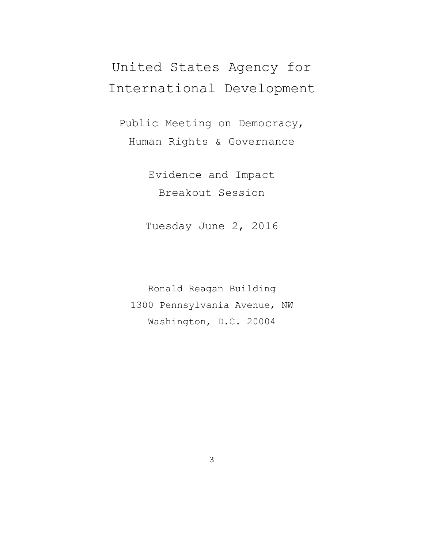## United States Agency for International Development

Public Meeting on Democracy, Human Rights & Governance

> Evidence and Impact Breakout Session

Tuesday June 2, 2016

Ronald Reagan Building 1300 Pennsylvania Avenue, NW Washington, D.C. 20004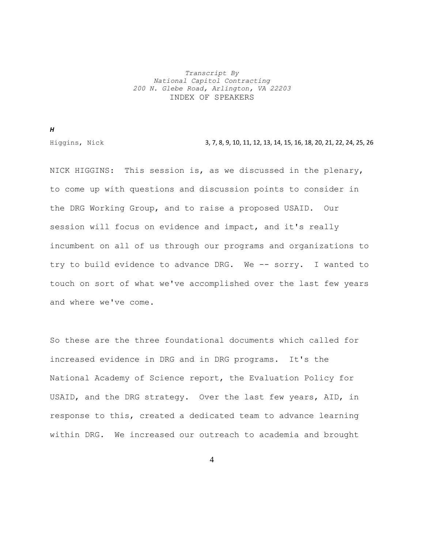## *Transcript By National Capitol Contracting 200 N. Glebe Road, Arlington, VA 22203* INDEX OF SPEAKERS

*H*

Higgins, Nick 3, 7, 8, 9, 10, 11, 12, 13, 14, 15, 16, 18, 20, 21, 22, 24, 25, 26

NICK HIGGINS: This session is, as we discussed in the plenary, to come up with questions and discussion points to consider in the DRG Working Group, and to raise a proposed USAID. Our session will focus on evidence and impact, and it's really incumbent on all of us through our programs and organizations to try to build evidence to advance DRG. We -- sorry. I wanted to touch on sort of what we've accomplished over the last few years and where we've come.

So these are the three foundational documents which called for increased evidence in DRG and in DRG programs. It's the National Academy of Science report, the Evaluation Policy for USAID, and the DRG strategy. Over the last few years, AID, in response to this, created a dedicated team to advance learning within DRG. We increased our outreach to academia and brought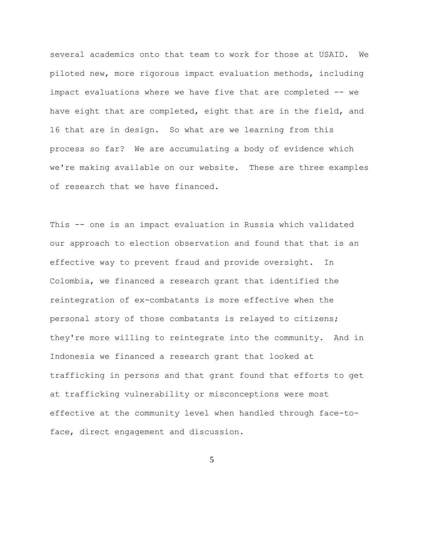several academics onto that team to work for those at USAID. We piloted new, more rigorous impact evaluation methods, including impact evaluations where we have five that are completed -- we have eight that are completed, eight that are in the field, and 16 that are in design. So what are we learning from this process so far? We are accumulating a body of evidence which we're making available on our website. These are three examples of research that we have financed.

This -- one is an impact evaluation in Russia which validated our approach to election observation and found that that is an effective way to prevent fraud and provide oversight. In Colombia, we financed a research grant that identified the reintegration of ex-combatants is more effective when the personal story of those combatants is relayed to citizens; they're more willing to reintegrate into the community. And in Indonesia we financed a research grant that looked at trafficking in persons and that grant found that efforts to get at trafficking vulnerability or misconceptions were most effective at the community level when handled through face-toface, direct engagement and discussion.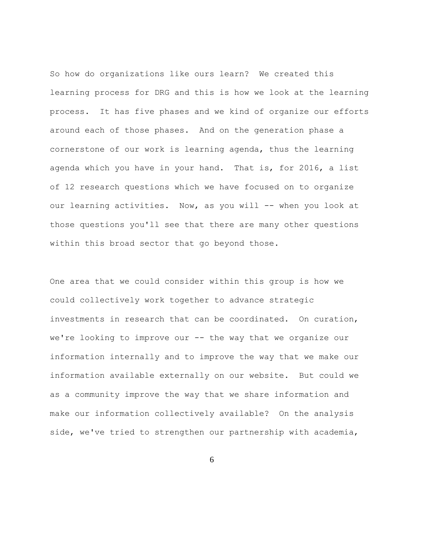So how do organizations like ours learn? We created this learning process for DRG and this is how we look at the learning process. It has five phases and we kind of organize our efforts around each of those phases. And on the generation phase a cornerstone of our work is learning agenda, thus the learning agenda which you have in your hand. That is, for 2016, a list of 12 research questions which we have focused on to organize our learning activities. Now, as you will -- when you look at those questions you'll see that there are many other questions within this broad sector that go beyond those.

One area that we could consider within this group is how we could collectively work together to advance strategic investments in research that can be coordinated. On curation, we're looking to improve our -- the way that we organize our information internally and to improve the way that we make our information available externally on our website. But could we as a community improve the way that we share information and make our information collectively available? On the analysis side, we've tried to strengthen our partnership with academia,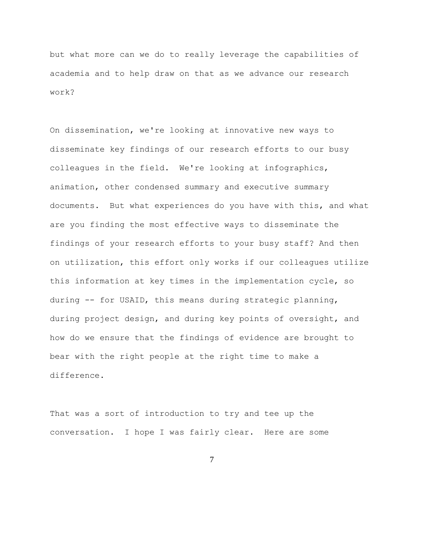but what more can we do to really leverage the capabilities of academia and to help draw on that as we advance our research work?

On dissemination, we're looking at innovative new ways to disseminate key findings of our research efforts to our busy colleagues in the field. We're looking at infographics, animation, other condensed summary and executive summary documents. But what experiences do you have with this, and what are you finding the most effective ways to disseminate the findings of your research efforts to your busy staff? And then on utilization, this effort only works if our colleagues utilize this information at key times in the implementation cycle, so during -- for USAID, this means during strategic planning, during project design, and during key points of oversight, and how do we ensure that the findings of evidence are brought to bear with the right people at the right time to make a difference.

That was a sort of introduction to try and tee up the conversation. I hope I was fairly clear. Here are some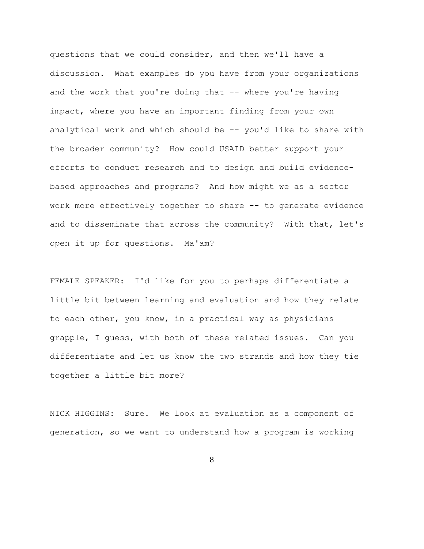questions that we could consider, and then we'll have a discussion. What examples do you have from your organizations and the work that you're doing that -- where you're having impact, where you have an important finding from your own analytical work and which should be -- you'd like to share with the broader community? How could USAID better support your efforts to conduct research and to design and build evidencebased approaches and programs? And how might we as a sector work more effectively together to share -- to generate evidence and to disseminate that across the community? With that, let's open it up for questions. Ma'am?

FEMALE SPEAKER: I'd like for you to perhaps differentiate a little bit between learning and evaluation and how they relate to each other, you know, in a practical way as physicians grapple, I guess, with both of these related issues. Can you differentiate and let us know the two strands and how they tie together a little bit more?

NICK HIGGINS: Sure. We look at evaluation as a component of generation, so we want to understand how a program is working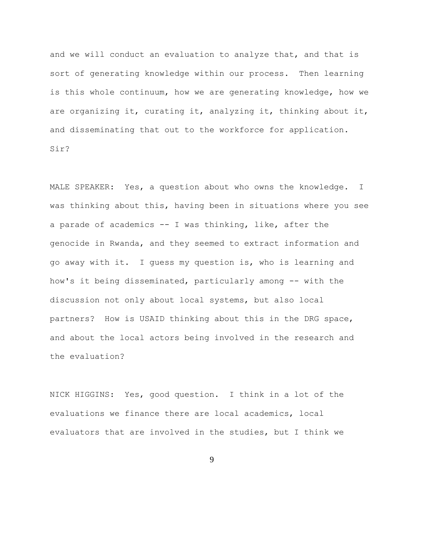and we will conduct an evaluation to analyze that, and that is sort of generating knowledge within our process. Then learning is this whole continuum, how we are generating knowledge, how we are organizing it, curating it, analyzing it, thinking about it, and disseminating that out to the workforce for application. Sir?

MALE SPEAKER: Yes, a question about who owns the knowledge. I was thinking about this, having been in situations where you see a parade of academics -- I was thinking, like, after the genocide in Rwanda, and they seemed to extract information and go away with it. I guess my question is, who is learning and how's it being disseminated, particularly among -- with the discussion not only about local systems, but also local partners? How is USAID thinking about this in the DRG space, and about the local actors being involved in the research and the evaluation?

NICK HIGGINS: Yes, good question. I think in a lot of the evaluations we finance there are local academics, local evaluators that are involved in the studies, but I think we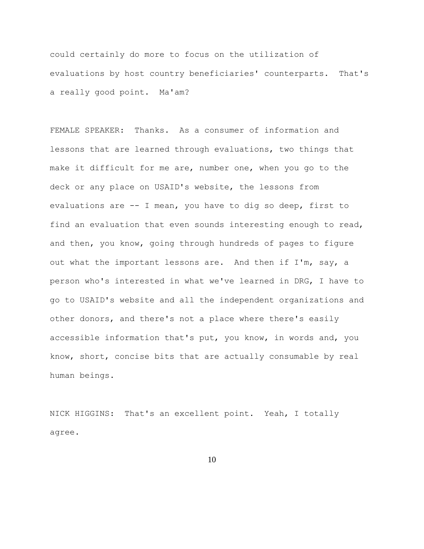could certainly do more to focus on the utilization of evaluations by host country beneficiaries' counterparts. That's a really good point. Ma'am?

FEMALE SPEAKER: Thanks. As a consumer of information and lessons that are learned through evaluations, two things that make it difficult for me are, number one, when you go to the deck or any place on USAID's website, the lessons from evaluations are -- I mean, you have to dig so deep, first to find an evaluation that even sounds interesting enough to read, and then, you know, going through hundreds of pages to figure out what the important lessons are. And then if I'm, say, a person who's interested in what we've learned in DRG, I have to go to USAID's website and all the independent organizations and other donors, and there's not a place where there's easily accessible information that's put, you know, in words and, you know, short, concise bits that are actually consumable by real human beings.

NICK HIGGINS: That's an excellent point. Yeah, I totally agree.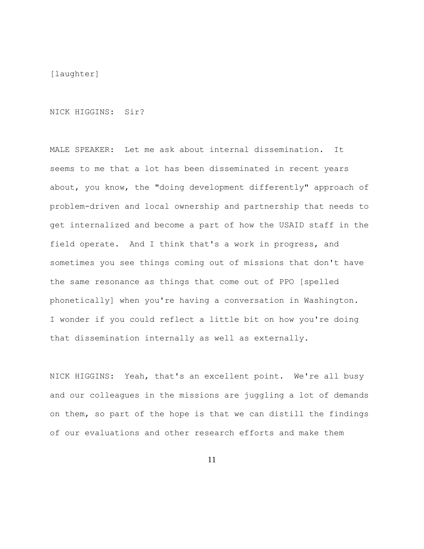[laughter]

NICK HIGGINS: Sir?

MALE SPEAKER: Let me ask about internal dissemination. It seems to me that a lot has been disseminated in recent years about, you know, the "doing development differently" approach of problem-driven and local ownership and partnership that needs to get internalized and become a part of how the USAID staff in the field operate. And I think that's a work in progress, and sometimes you see things coming out of missions that don't have the same resonance as things that come out of PPO [spelled phonetically] when you're having a conversation in Washington. I wonder if you could reflect a little bit on how you're doing that dissemination internally as well as externally.

NICK HIGGINS: Yeah, that's an excellent point. We're all busy and our colleagues in the missions are juggling a lot of demands on them, so part of the hope is that we can distill the findings of our evaluations and other research efforts and make them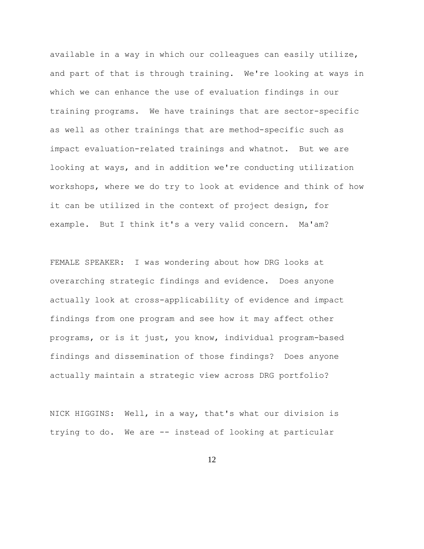available in a way in which our colleagues can easily utilize, and part of that is through training. We're looking at ways in which we can enhance the use of evaluation findings in our training programs. We have trainings that are sector-specific as well as other trainings that are method-specific such as impact evaluation-related trainings and whatnot. But we are looking at ways, and in addition we're conducting utilization workshops, where we do try to look at evidence and think of how it can be utilized in the context of project design, for example. But I think it's a very valid concern. Ma'am?

FEMALE SPEAKER: I was wondering about how DRG looks at overarching strategic findings and evidence. Does anyone actually look at cross-applicability of evidence and impact findings from one program and see how it may affect other programs, or is it just, you know, individual program-based findings and dissemination of those findings? Does anyone actually maintain a strategic view across DRG portfolio?

NICK HIGGINS: Well, in a way, that's what our division is trying to do. We are -- instead of looking at particular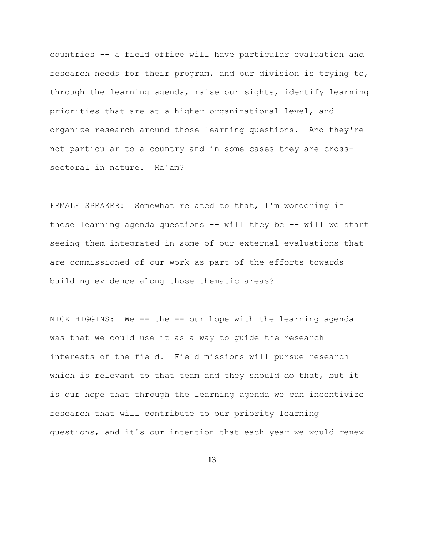countries -- a field office will have particular evaluation and research needs for their program, and our division is trying to, through the learning agenda, raise our sights, identify learning priorities that are at a higher organizational level, and organize research around those learning questions. And they're not particular to a country and in some cases they are crosssectoral in nature. Ma'am?

FEMALE SPEAKER: Somewhat related to that, I'm wondering if these learning agenda questions -- will they be -- will we start seeing them integrated in some of our external evaluations that are commissioned of our work as part of the efforts towards building evidence along those thematic areas?

NICK HIGGINS: We -- the -- our hope with the learning agenda was that we could use it as a way to guide the research interests of the field. Field missions will pursue research which is relevant to that team and they should do that, but it is our hope that through the learning agenda we can incentivize research that will contribute to our priority learning questions, and it's our intention that each year we would renew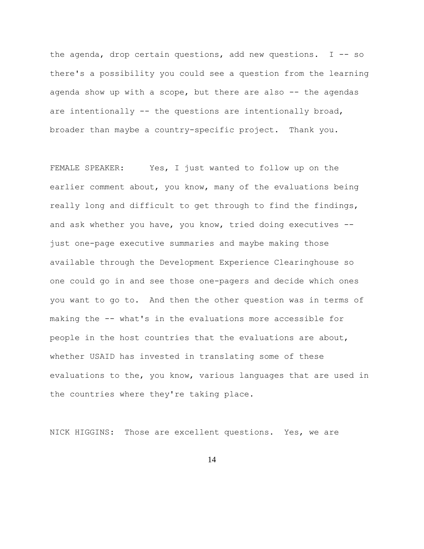the agenda, drop certain questions, add new questions. I -- so there's a possibility you could see a question from the learning agenda show up with a scope, but there are also -- the agendas are intentionally -- the questions are intentionally broad, broader than maybe a country-specific project. Thank you.

FEMALE SPEAKER: Yes, I just wanted to follow up on the earlier comment about, you know, many of the evaluations being really long and difficult to get through to find the findings, and ask whether you have, you know, tried doing executives - just one-page executive summaries and maybe making those available through the Development Experience Clearinghouse so one could go in and see those one-pagers and decide which ones you want to go to. And then the other question was in terms of making the -- what's in the evaluations more accessible for people in the host countries that the evaluations are about, whether USAID has invested in translating some of these evaluations to the, you know, various languages that are used in the countries where they're taking place.

NICK HIGGINS: Those are excellent questions. Yes, we are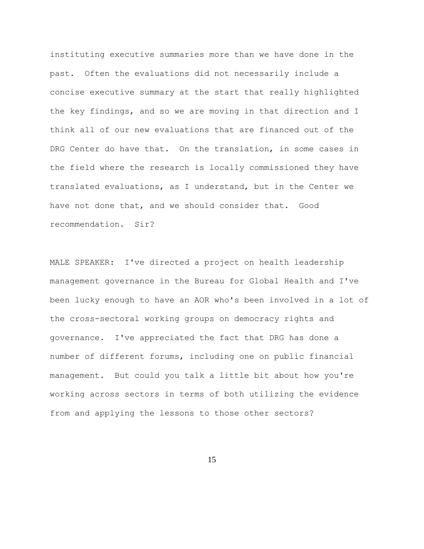instituting executive summaries more than we have done in the past. Often the evaluations did not necessarily include a concise executive summary at the start that really highlighted the key findings, and so we are moving in that direction and I think all of our new evaluations that are financed out of the DRG Center do have that. On the translation, in some cases in the field where the research is locally commissioned they have translated evaluations, as I understand, but in the Center we have not done that, and we should consider that. Good recommendation. Sir?

MALE SPEAKER: I've directed a project on health leadership management governance in the Bureau for Global Health and I've been lucky enough to have an AOR who's been involved in a lot of the cross-sectoral working groups on democracy rights and governance. I've appreciated the fact that DRG has done a number of different forums, including one on public financial management. But could you talk a little bit about how you're working across sectors in terms of both utilizing the evidence from and applying the lessons to those other sectors?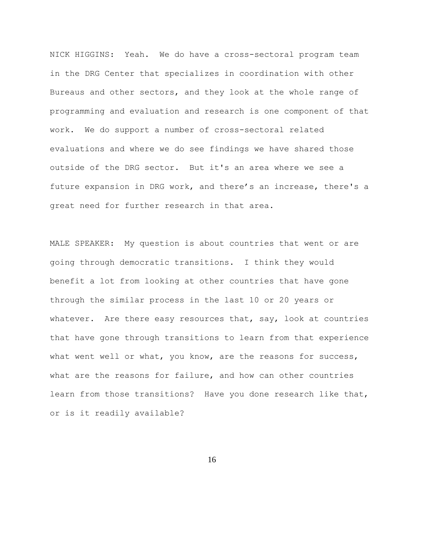NICK HIGGINS: Yeah. We do have a cross-sectoral program team in the DRG Center that specializes in coordination with other Bureaus and other sectors, and they look at the whole range of programming and evaluation and research is one component of that work. We do support a number of cross-sectoral related evaluations and where we do see findings we have shared those outside of the DRG sector. But it's an area where we see a future expansion in DRG work, and there's an increase, there's a great need for further research in that area.

MALE SPEAKER: My question is about countries that went or are going through democratic transitions. I think they would benefit a lot from looking at other countries that have gone through the similar process in the last 10 or 20 years or whatever. Are there easy resources that, say, look at countries that have gone through transitions to learn from that experience what went well or what, you know, are the reasons for success, what are the reasons for failure, and how can other countries learn from those transitions? Have you done research like that, or is it readily available?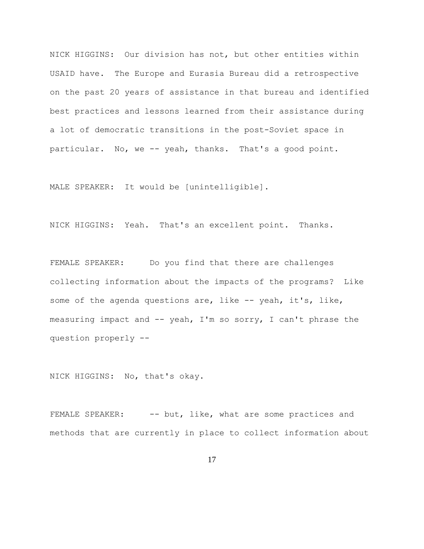NICK HIGGINS: Our division has not, but other entities within USAID have. The Europe and Eurasia Bureau did a retrospective on the past 20 years of assistance in that bureau and identified best practices and lessons learned from their assistance during a lot of democratic transitions in the post-Soviet space in particular. No, we -- yeah, thanks. That's a good point.

MALE SPEAKER: It would be [unintelligible].

NICK HIGGINS: Yeah. That's an excellent point. Thanks.

FEMALE SPEAKER: Do you find that there are challenges collecting information about the impacts of the programs? Like some of the agenda questions are, like -- yeah, it's, like, measuring impact and  $--$  yeah, I'm so sorry, I can't phrase the question properly --

NICK HIGGINS: No, that's okay.

FEMALE SPEAKER: -- but, like, what are some practices and methods that are currently in place to collect information about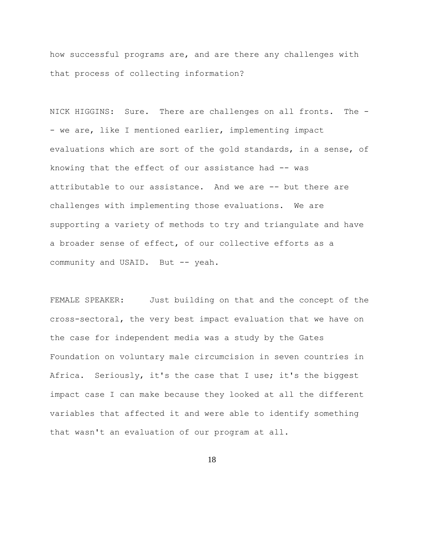how successful programs are, and are there any challenges with that process of collecting information?

NICK HIGGINS: Sure. There are challenges on all fronts. The - - we are, like I mentioned earlier, implementing impact evaluations which are sort of the gold standards, in a sense, of knowing that the effect of our assistance had -- was attributable to our assistance. And we are -- but there are challenges with implementing those evaluations. We are supporting a variety of methods to try and triangulate and have a broader sense of effect, of our collective efforts as a community and USAID. But -- yeah.

FEMALE SPEAKER: Just building on that and the concept of the cross-sectoral, the very best impact evaluation that we have on the case for independent media was a study by the Gates Foundation on voluntary male circumcision in seven countries in Africa. Seriously, it's the case that I use; it's the biggest impact case I can make because they looked at all the different variables that affected it and were able to identify something that wasn't an evaluation of our program at all.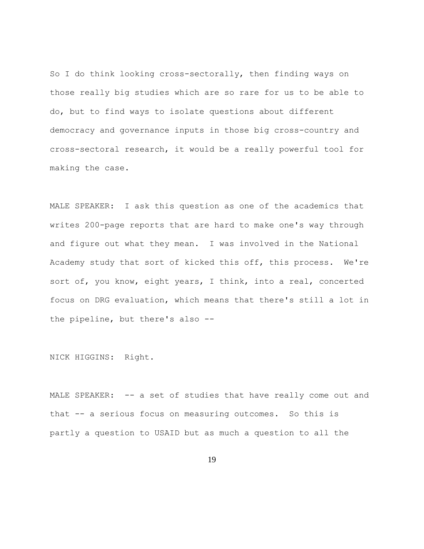So I do think looking cross-sectorally, then finding ways on those really big studies which are so rare for us to be able to do, but to find ways to isolate questions about different democracy and governance inputs in those big cross-country and cross-sectoral research, it would be a really powerful tool for making the case.

MALE SPEAKER: I ask this question as one of the academics that writes 200-page reports that are hard to make one's way through and figure out what they mean. I was involved in the National Academy study that sort of kicked this off, this process. We're sort of, you know, eight years, I think, into a real, concerted focus on DRG evaluation, which means that there's still a lot in the pipeline, but there's also --

NICK HIGGINS: Right.

MALE SPEAKER: -- a set of studies that have really come out and that -- a serious focus on measuring outcomes. So this is partly a question to USAID but as much a question to all the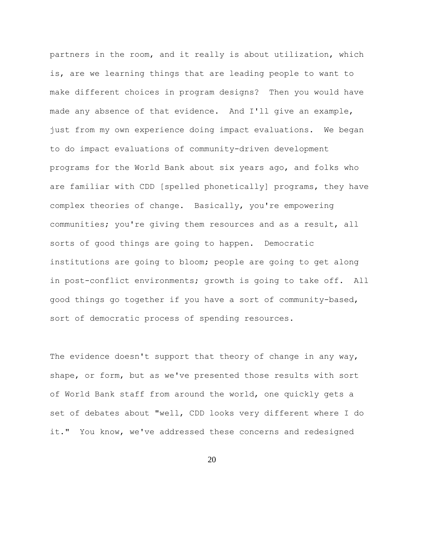partners in the room, and it really is about utilization, which is, are we learning things that are leading people to want to make different choices in program designs? Then you would have made any absence of that evidence. And I'll give an example, just from my own experience doing impact evaluations. We began to do impact evaluations of community-driven development programs for the World Bank about six years ago, and folks who are familiar with CDD [spelled phonetically] programs, they have complex theories of change. Basically, you're empowering communities; you're giving them resources and as a result, all sorts of good things are going to happen. Democratic institutions are going to bloom; people are going to get along in post-conflict environments; growth is going to take off. All good things go together if you have a sort of community-based, sort of democratic process of spending resources.

The evidence doesn't support that theory of change in any way, shape, or form, but as we've presented those results with sort of World Bank staff from around the world, one quickly gets a set of debates about "well, CDD looks very different where I do it." You know, we've addressed these concerns and redesigned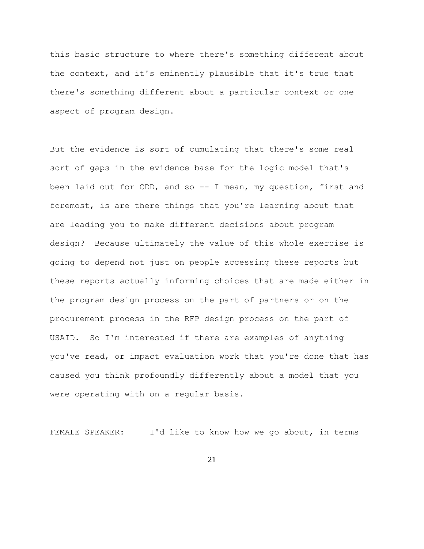this basic structure to where there's something different about the context, and it's eminently plausible that it's true that there's something different about a particular context or one aspect of program design.

But the evidence is sort of cumulating that there's some real sort of gaps in the evidence base for the logic model that's been laid out for CDD, and so -- I mean, my question, first and foremost, is are there things that you're learning about that are leading you to make different decisions about program design? Because ultimately the value of this whole exercise is going to depend not just on people accessing these reports but these reports actually informing choices that are made either in the program design process on the part of partners or on the procurement process in the RFP design process on the part of USAID. So I'm interested if there are examples of anything you've read, or impact evaluation work that you're done that has caused you think profoundly differently about a model that you were operating with on a regular basis.

FEMALE SPEAKER: I'd like to know how we go about, in terms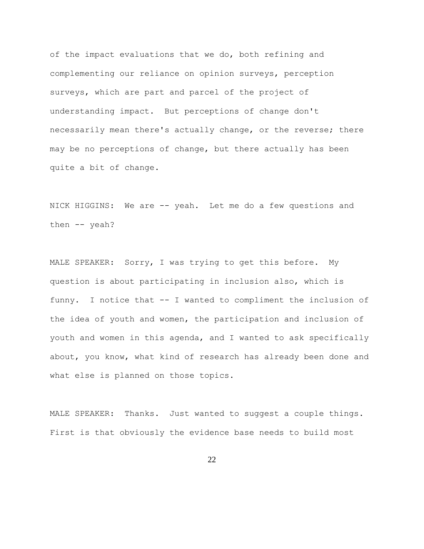of the impact evaluations that we do, both refining and complementing our reliance on opinion surveys, perception surveys, which are part and parcel of the project of understanding impact. But perceptions of change don't necessarily mean there's actually change, or the reverse; there may be no perceptions of change, but there actually has been quite a bit of change.

NICK HIGGINS: We are -- yeah. Let me do a few questions and then -- yeah?

MALE SPEAKER: Sorry, I was trying to get this before. My question is about participating in inclusion also, which is funny. I notice that -- I wanted to compliment the inclusion of the idea of youth and women, the participation and inclusion of youth and women in this agenda, and I wanted to ask specifically about, you know, what kind of research has already been done and what else is planned on those topics.

MALE SPEAKER: Thanks. Just wanted to suggest a couple things. First is that obviously the evidence base needs to build most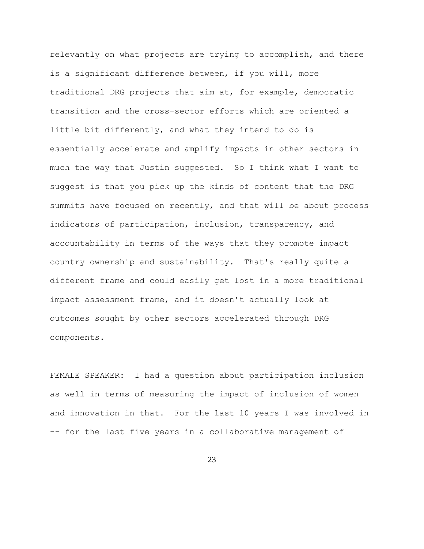relevantly on what projects are trying to accomplish, and there is a significant difference between, if you will, more traditional DRG projects that aim at, for example, democratic transition and the cross-sector efforts which are oriented a little bit differently, and what they intend to do is essentially accelerate and amplify impacts in other sectors in much the way that Justin suggested. So I think what I want to suggest is that you pick up the kinds of content that the DRG summits have focused on recently, and that will be about process indicators of participation, inclusion, transparency, and accountability in terms of the ways that they promote impact country ownership and sustainability. That's really quite a different frame and could easily get lost in a more traditional impact assessment frame, and it doesn't actually look at outcomes sought by other sectors accelerated through DRG components.

FEMALE SPEAKER: I had a question about participation inclusion as well in terms of measuring the impact of inclusion of women and innovation in that. For the last 10 years I was involved in -- for the last five years in a collaborative management of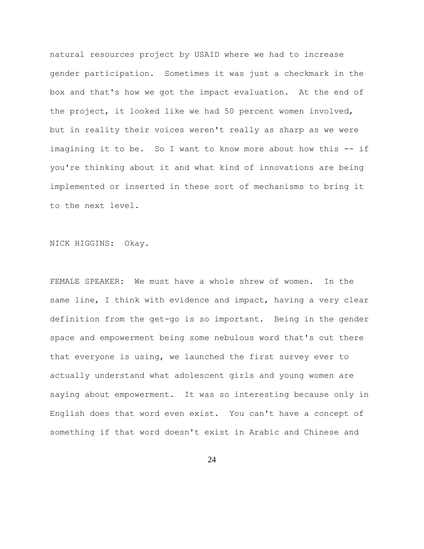natural resources project by USAID where we had to increase gender participation. Sometimes it was just a checkmark in the box and that's how we got the impact evaluation. At the end of the project, it looked like we had 50 percent women involved, but in reality their voices weren't really as sharp as we were imagining it to be. So I want to know more about how this -- if you're thinking about it and what kind of innovations are being implemented or inserted in these sort of mechanisms to bring it to the next level.

NICK HIGGINS: Okay.

FEMALE SPEAKER: We must have a whole shrew of women. In the same line, I think with evidence and impact, having a very clear definition from the get-go is so important. Being in the gender space and empowerment being some nebulous word that's out there that everyone is using, we launched the first survey ever to actually understand what adolescent girls and young women are saying about empowerment. It was so interesting because only in English does that word even exist. You can't have a concept of something if that word doesn't exist in Arabic and Chinese and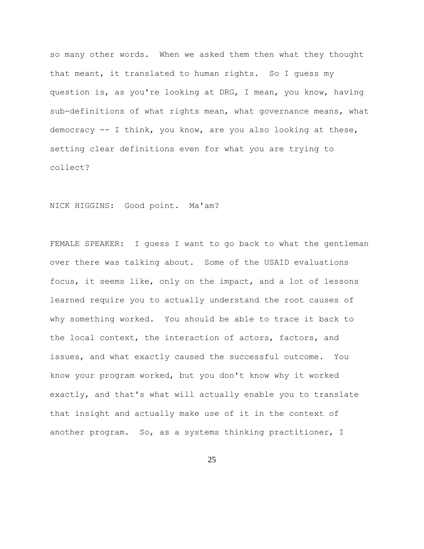so many other words. When we asked them then what they thought that meant, it translated to human rights. So I guess my question is, as you're looking at DRG, I mean, you know, having sub-definitions of what rights mean, what governance means, what democracy -- I think, you know, are you also looking at these, setting clear definitions even for what you are trying to collect?

NICK HIGGINS: Good point. Ma'am?

FEMALE SPEAKER: I guess I want to go back to what the gentleman over there was talking about. Some of the USAID evaluations focus, it seems like, only on the impact, and a lot of lessons learned require you to actually understand the root causes of why something worked. You should be able to trace it back to the local context, the interaction of actors, factors, and issues, and what exactly caused the successful outcome. You know your program worked, but you don't know why it worked exactly, and that's what will actually enable you to translate that insight and actually make use of it in the context of another program. So, as a systems thinking practitioner, I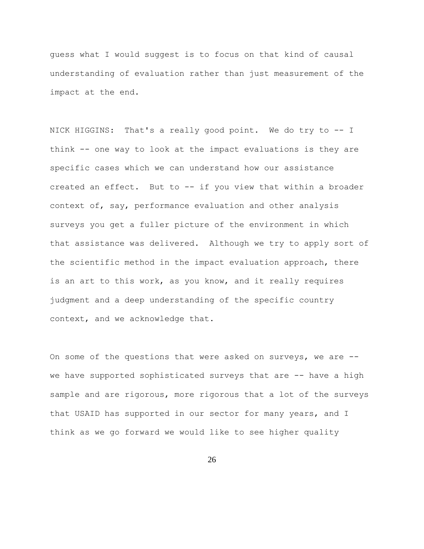guess what I would suggest is to focus on that kind of causal understanding of evaluation rather than just measurement of the impact at the end.

NICK HIGGINS: That's a really good point. We do try to -- I think -- one way to look at the impact evaluations is they are specific cases which we can understand how our assistance created an effect. But to -- if you view that within a broader context of, say, performance evaluation and other analysis surveys you get a fuller picture of the environment in which that assistance was delivered. Although we try to apply sort of the scientific method in the impact evaluation approach, there is an art to this work, as you know, and it really requires judgment and a deep understanding of the specific country context, and we acknowledge that.

On some of the questions that were asked on surveys, we are - we have supported sophisticated surveys that are -- have a high sample and are rigorous, more rigorous that a lot of the surveys that USAID has supported in our sector for many years, and I think as we go forward we would like to see higher quality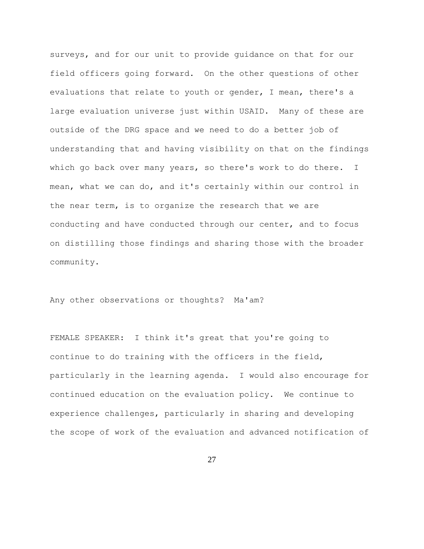surveys, and for our unit to provide guidance on that for our field officers going forward. On the other questions of other evaluations that relate to youth or gender, I mean, there's a large evaluation universe just within USAID. Many of these are outside of the DRG space and we need to do a better job of understanding that and having visibility on that on the findings which go back over many years, so there's work to do there. I mean, what we can do, and it's certainly within our control in the near term, is to organize the research that we are conducting and have conducted through our center, and to focus on distilling those findings and sharing those with the broader community.

Any other observations or thoughts? Ma'am?

FEMALE SPEAKER: I think it's great that you're going to continue to do training with the officers in the field, particularly in the learning agenda. I would also encourage for continued education on the evaluation policy. We continue to experience challenges, particularly in sharing and developing the scope of work of the evaluation and advanced notification of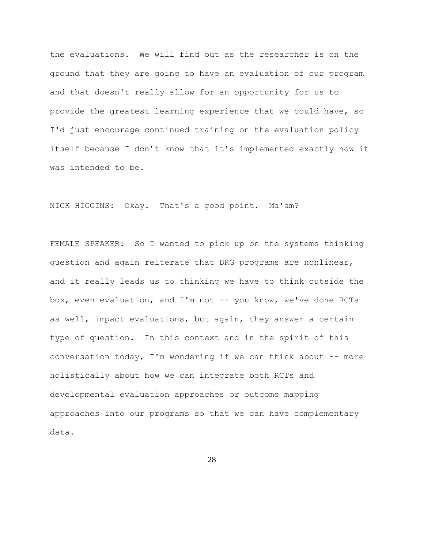the evaluations. We will find out as the researcher is on the ground that they are going to have an evaluation of our program and that doesn't really allow for an opportunity for us to provide the greatest learning experience that we could have, so I'd just encourage continued training on the evaluation policy itself because I don't know that it's implemented exactly how it was intended to be.

NICK HIGGINS: Okay. That's a good point. Ma'am?

FEMALE SPEAKER: So I wanted to pick up on the systems thinking question and again reiterate that DRG programs are nonlinear, and it really leads us to thinking we have to think outside the box, even evaluation, and I'm not -- you know, we've done RCTs as well, impact evaluations, but again, they answer a certain type of question. In this context and in the spirit of this conversation today, I'm wondering if we can think about -- more holistically about how we can integrate both RCTs and developmental evaluation approaches or outcome mapping approaches into our programs so that we can have complementary data.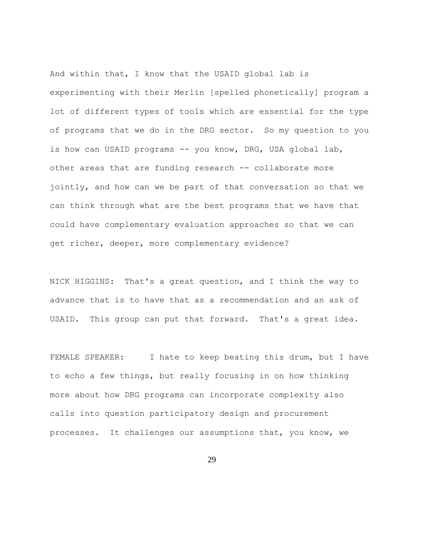And within that, I know that the USAID global lab is experimenting with their Merlin [spelled phonetically] program a lot of different types of tools which are essential for the type of programs that we do in the DRG sector. So my question to you is how can USAID programs -- you know, DRG, USA global lab, other areas that are funding research -- collaborate more jointly, and how can we be part of that conversation so that we can think through what are the best programs that we have that could have complementary evaluation approaches so that we can get richer, deeper, more complementary evidence?

NICK HIGGINS: That's a great question, and I think the way to advance that is to have that as a recommendation and an ask of USAID. This group can put that forward. That's a great idea.

FEMALE SPEAKER: I hate to keep beating this drum, but I have to echo a few things, but really focusing in on how thinking more about how DRG programs can incorporate complexity also calls into question participatory design and procurement processes. It challenges our assumptions that, you know, we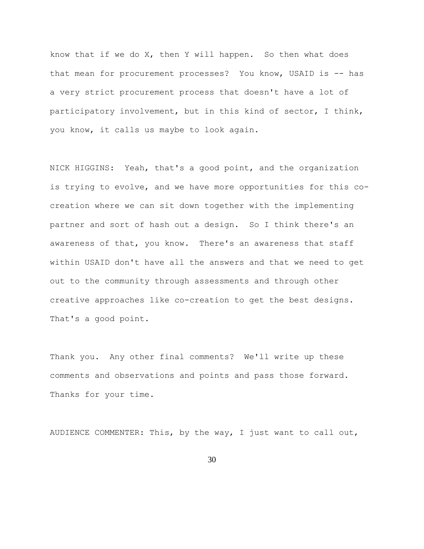know that if we do X, then Y will happen. So then what does that mean for procurement processes? You know, USAID is -- has a very strict procurement process that doesn't have a lot of participatory involvement, but in this kind of sector, I think, you know, it calls us maybe to look again.

NICK HIGGINS: Yeah, that's a good point, and the organization is trying to evolve, and we have more opportunities for this cocreation where we can sit down together with the implementing partner and sort of hash out a design. So I think there's an awareness of that, you know. There's an awareness that staff within USAID don't have all the answers and that we need to get out to the community through assessments and through other creative approaches like co-creation to get the best designs. That's a good point.

Thank you. Any other final comments? We'll write up these comments and observations and points and pass those forward. Thanks for your time.

AUDIENCE COMMENTER: This, by the way, I just want to call out,